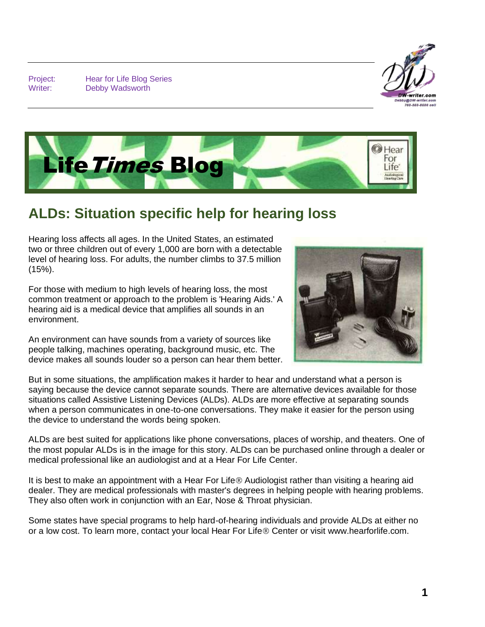Project: Hear for Life Blog Series Writer: Debby Wadsworth





## **ALDs: Situation specific help for hearing loss**

Hearing loss affects all ages. In the United States, an estimated two or three children out of every 1,000 are born with a detectable level of hearing loss. For adults, the number climbs to 37.5 million (15%).

For those with medium to high levels of hearing loss, the most common treatment or approach to the problem is 'Hearing Aids.' A hearing aid is a medical device that amplifies all sounds in an environment.



An environment can have sounds from a variety of sources like people talking, machines operating, background music, etc. The device makes all sounds louder so a person can hear them better.

But in some situations, the amplification makes it harder to hear and understand what a person is saying because the device cannot separate sounds. There are alternative devices available for those situations called Assistive Listening Devices (ALDs). ALDs are more effective at separating sounds when a person communicates in one-to-one conversations. They make it easier for the person using the device to understand the words being spoken.

ALDs are best suited for applications like phone conversations, places of worship, and theaters. One of the most popular ALDs is in the image for this story. ALDs can be purchased online through a dealer or medical professional like an audiologist and at a Hear For Life Center.

It is best to make an appointment with a Hear For Life ® Audiologist rather than visiting a hearing aid dealer. They are medical professionals with master's degrees in helping people with hearing problems. They also often work in conjunction with an Ear, Nose & Throat physician.

Some states have special programs to help hard-of-hearing individuals and provide ALDs at either no or a low cost. To learn more, contact your local Hear For Life ® Center or visit www.hearforlife.com.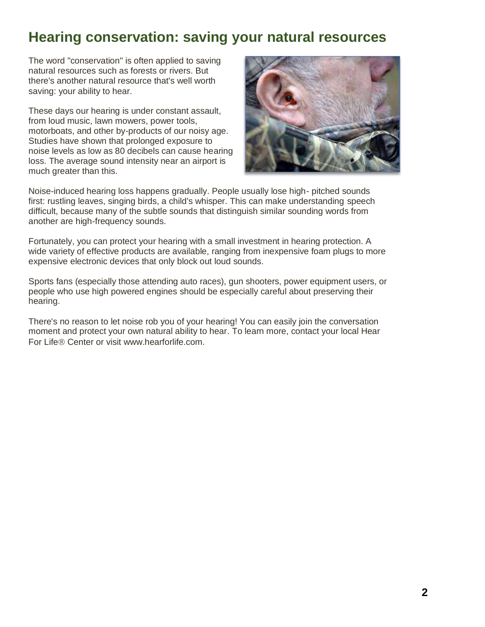## **Hearing conservation: saving your natural resources**

The word "conservation" is often applied to saving natural resources such as forests or rivers. But there's another natural resource that's well worth saving: your ability to hear.

These days our hearing is under constant assault, from loud music, lawn mowers, power tools, motorboats, and other by-products of our noisy age. Studies have shown that prolonged exposure to noise levels as low as 80 decibels can cause hearing loss. The average sound intensity near an airport is much greater than this.



Noise-induced hearing loss happens gradually. People usually lose high- pitched sounds first: rustling leaves, singing birds, a child's whisper. This can make understanding speech difficult, because many of the subtle sounds that distinguish similar sounding words from another are high-frequency sounds.

Fortunately, you can protect your hearing with a small investment in hearing protection. A wide variety of effective products are available, ranging from inexpensive foam plugs to more expensive electronic devices that only block out loud sounds.

Sports fans (especially those attending auto races), gun shooters, power equipment users, or people who use high powered engines should be especially careful about preserving their hearing.

There's no reason to let noise rob you of your hearing! You can easily join the conversation moment and protect your own natural ability to hear. To learn more, contact your local Hear For Life ® Center or visit www.hearforlife.com.